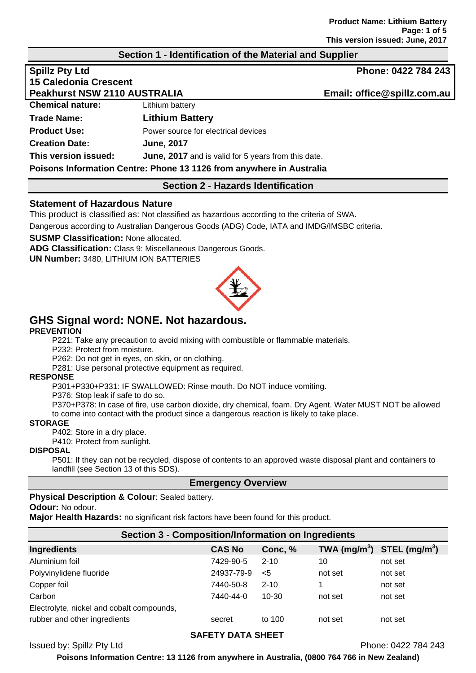## **Section 1 - Identification of the Material and Supplier**

| <b>Spillz Pty Ltd</b>                                                |                                                            | Phone: 0422 784 243         |
|----------------------------------------------------------------------|------------------------------------------------------------|-----------------------------|
| <b>15 Caledonia Crescent</b>                                         |                                                            |                             |
| <b>Peakhurst NSW 2110 AUSTRALIA</b>                                  |                                                            | Email: office@spillz.com.au |
| <b>Chemical nature:</b>                                              | Lithium battery                                            |                             |
| Trade Name:                                                          | <b>Lithium Battery</b>                                     |                             |
| <b>Product Use:</b>                                                  | Power source for electrical devices                        |                             |
| <b>Creation Date:</b>                                                | <b>June, 2017</b>                                          |                             |
| This version issued:                                                 | <b>June, 2017</b> and is valid for 5 years from this date. |                             |
| Poisons Information Centre: Phone 13 1126 from anywhere in Australia |                                                            |                             |

### **Section 2 - Hazards Identification**

### **Statement of Hazardous Nature**

This product is classified as: Not classified as hazardous according to the criteria of SWA.

Dangerous according to Australian Dangerous Goods (ADG) Code, IATA and IMDG/IMSBC criteria.

**SUSMP Classification:** None allocated.

**ADG Classification:** Class 9: Miscellaneous Dangerous Goods.

**UN Number:** 3480, LITHIUM ION BATTERIES



# **GHS Signal word: NONE. Not hazardous.**

### **PREVENTION**

P221: Take any precaution to avoid mixing with combustible or flammable materials.

P232: Protect from moisture.

P262: Do not get in eyes, on skin, or on clothing.

P281: Use personal protective equipment as required.

#### **RESPONSE**

P301+P330+P331: IF SWALLOWED: Rinse mouth. Do NOT induce vomiting.

P376: Stop leak if safe to do so.

P370+P378: In case of fire, use carbon dioxide, dry chemical, foam. Dry Agent. Water MUST NOT be allowed to come into contact with the product since a dangerous reaction is likely to take place.

**STORAGE** 

P402: Store in a dry place.

P410: Protect from sunlight.

### **DISPOSAL**

P501: If they can not be recycled, dispose of contents to an approved waste disposal plant and containers to landfill (see Section 13 of this SDS).

### **Emergency Overview**

### **Physical Description & Colour**: Sealed battery.

**Odour:** No odour.

**Major Health Hazards:** no significant risk factors have been found for this product.

| <b>Section 3 - Composition/Information on Ingredients</b> |               |          |                                |         |
|-----------------------------------------------------------|---------------|----------|--------------------------------|---------|
| <b>Ingredients</b>                                        | <b>CAS No</b> | Conc, %  | TWA $(mg/m^3)$ STEL $(mg/m^3)$ |         |
| Aluminium foil                                            | 7429-90-5     | $2 - 10$ | 10                             | not set |
| Polyvinylidene fluoride                                   | 24937-79-9    | $<$ 5    | not set                        | not set |
| Copper foil                                               | 7440-50-8     | $2 - 10$ | 1                              | not set |
| Carbon                                                    | 7440-44-0     | 10-30    | not set                        | not set |
| Electrolyte, nickel and cobalt compounds,                 |               |          |                                |         |
| rubber and other ingredients                              | secret        | to 100   | not set                        | not set |

### **SAFETY DATA SHEET**

Issued by: Spillz Pty Ltd Phone: 0422 784 243

**Poisons Information Centre: 13 1126 from anywhere in Australia, (0800 764 766 in New Zealand)**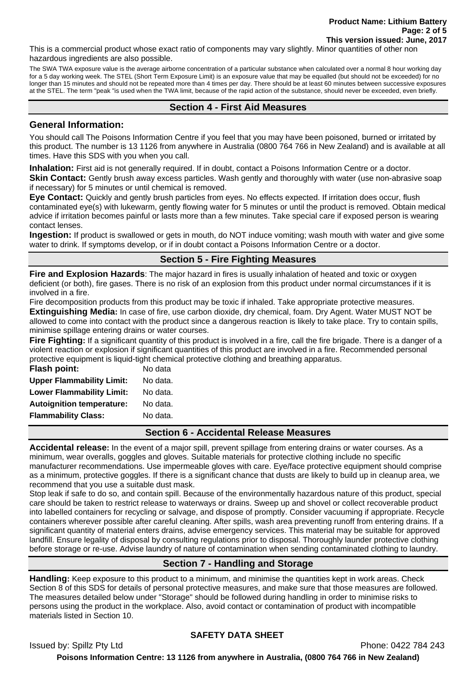This is a commercial product whose exact ratio of components may vary slightly. Minor quantities of other non hazardous ingredients are also possible.

The SWA TWA exposure value is the average airborne concentration of a particular substance when calculated over a normal 8 hour working day for a 5 day working week. The STEL (Short Term Exposure Limit) is an exposure value that may be equalled (but should not be exceeded) for no longer than 15 minutes and should not be repeated more than 4 times per day. There should be at least 60 minutes between successive exposures at the STEL. The term "peak "is used when the TWA limit, because of the rapid action of the substance, should never be exceeded, even briefly.

# **Section 4 - First Aid Measures**

## **General Information:**

You should call The Poisons Information Centre if you feel that you may have been poisoned, burned or irritated by this product. The number is 13 1126 from anywhere in Australia (0800 764 766 in New Zealand) and is available at all times. Have this SDS with you when you call.

**Inhalation:** First aid is not generally required. If in doubt, contact a Poisons Information Centre or a doctor.

**Skin Contact:** Gently brush away excess particles. Wash gently and thoroughly with water (use non-abrasive soap if necessary) for 5 minutes or until chemical is removed.

**Eye Contact:** Quickly and gently brush particles from eyes. No effects expected. If irritation does occur, flush contaminated eye(s) with lukewarm, gently flowing water for 5 minutes or until the product is removed. Obtain medical advice if irritation becomes painful or lasts more than a few minutes. Take special care if exposed person is wearing contact lenses.

**Ingestion:** If product is swallowed or gets in mouth, do NOT induce vomiting; wash mouth with water and give some water to drink. If symptoms develop, or if in doubt contact a Poisons Information Centre or a doctor.

# **Section 5 - Fire Fighting Measures**

**Fire and Explosion Hazards**: The major hazard in fires is usually inhalation of heated and toxic or oxygen deficient (or both), fire gases. There is no risk of an explosion from this product under normal circumstances if it is involved in a fire.

Fire decomposition products from this product may be toxic if inhaled. Take appropriate protective measures.

**Extinguishing Media:** In case of fire, use carbon dioxide, dry chemical, foam. Dry Agent. Water MUST NOT be allowed to come into contact with the product since a dangerous reaction is likely to take place. Try to contain spills, minimise spillage entering drains or water courses.

**Fire Fighting:** If a significant quantity of this product is involved in a fire, call the fire brigade. There is a danger of a violent reaction or explosion if significant quantities of this product are involved in a fire. Recommended personal protective equipment is liquid-tight chemical protective clothing and breathing apparatus.

| <b>Flash point:</b>              | No data  |
|----------------------------------|----------|
| <b>Upper Flammability Limit:</b> | No data. |
| <b>Lower Flammability Limit:</b> | No data. |
| <b>Autoignition temperature:</b> | No data. |
| <b>Flammability Class:</b>       | No data. |
|                                  |          |

**Section 6 - Accidental Release Measures** 

**Accidental release:** In the event of a major spill, prevent spillage from entering drains or water courses. As a minimum, wear overalls, goggles and gloves. Suitable materials for protective clothing include no specific manufacturer recommendations. Use impermeable gloves with care. Eye/face protective equipment should comprise as a minimum, protective goggles. If there is a significant chance that dusts are likely to build up in cleanup area, we recommend that you use a suitable dust mask.

Stop leak if safe to do so, and contain spill. Because of the environmentally hazardous nature of this product, special care should be taken to restrict release to waterways or drains. Sweep up and shovel or collect recoverable product into labelled containers for recycling or salvage, and dispose of promptly. Consider vacuuming if appropriate. Recycle containers wherever possible after careful cleaning. After spills, wash area preventing runoff from entering drains. If a significant quantity of material enters drains, advise emergency services. This material may be suitable for approved landfill. Ensure legality of disposal by consulting regulations prior to disposal. Thoroughly launder protective clothing before storage or re-use. Advise laundry of nature of contamination when sending contaminated clothing to laundry.

# **Section 7 - Handling and Storage**

**Handling:** Keep exposure to this product to a minimum, and minimise the quantities kept in work areas. Check Section 8 of this SDS for details of personal protective measures, and make sure that those measures are followed. The measures detailed below under "Storage" should be followed during handling in order to minimise risks to persons using the product in the workplace. Also, avoid contact or contamination of product with incompatible materials listed in Section 10.

# **SAFETY DATA SHEET**

Issued by: Spillz Pty Ltd Phone: 0422 784 243

**Poisons Information Centre: 13 1126 from anywhere in Australia, (0800 764 766 in New Zealand)**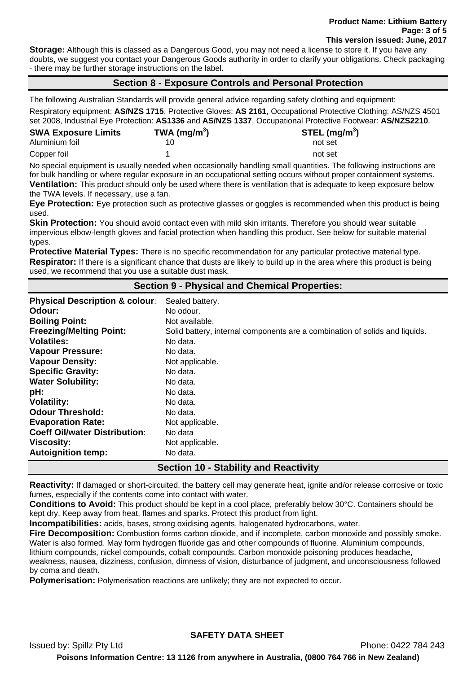**Storage:** Although this is classed as a Dangerous Good, you may not need a license to store it. If you have any doubts, we suggest you contact your Dangerous Goods authority in order to clarify your obligations. Check packaging - there may be further storage instructions on the label.

# **Section 8 - Exposure Controls and Personal Protection**

The following Australian Standards will provide general advice regarding safety clothing and equipment:

Respiratory equipment: **AS/NZS 1715**, Protective Gloves: **AS 2161**, Occupational Protective Clothing: AS/NZS 4501 set 2008, Industrial Eye Protection: **AS1336** and **AS/NZS 1337**, Occupational Protective Footwear: **AS/NZS2210**.

| <b>SWA Exposure Limits</b> | TWA (mg/m <sup>3</sup> ) | STEL (mg/m <sup>3</sup> ) |
|----------------------------|--------------------------|---------------------------|
| Aluminium foil             |                          | not set                   |
| Copper foil                |                          | not set                   |

No special equipment is usually needed when occasionally handling small quantities. The following instructions are for bulk handling or where regular exposure in an occupational setting occurs without proper containment systems. **Ventilation:** This product should only be used where there is ventilation that is adequate to keep exposure below the TWA levels. If necessary, use a fan.

**Eye Protection:** Eye protection such as protective glasses or goggles is recommended when this product is being used.

**Skin Protection:** You should avoid contact even with mild skin irritants. Therefore you should wear suitable impervious elbow-length gloves and facial protection when handling this product. See below for suitable material types.

**Protective Material Types:** There is no specific recommendation for any particular protective material type. **Respirator:** If there is a significant chance that dusts are likely to build up in the area where this product is being used, we recommend that you use a suitable dust mask.

## **Section 9 - Physical and Chemical Properties:**

| <b>Physical Description &amp; colour:</b>    | Sealed battery.                                                             |  |
|----------------------------------------------|-----------------------------------------------------------------------------|--|
| Odour:                                       | No odour.                                                                   |  |
| <b>Boiling Point:</b>                        | Not available.                                                              |  |
| <b>Freezing/Melting Point:</b>               | Solid battery, internal components are a combination of solids and liquids. |  |
| <b>Volatiles:</b>                            | No data.                                                                    |  |
| <b>Vapour Pressure:</b>                      | No data.                                                                    |  |
| <b>Vapour Density:</b>                       | Not applicable.                                                             |  |
| <b>Specific Gravity:</b>                     | No data.                                                                    |  |
| <b>Water Solubility:</b>                     | No data.                                                                    |  |
| pH:                                          | No data.                                                                    |  |
| <b>Volatility:</b>                           | No data.                                                                    |  |
| <b>Odour Threshold:</b>                      | No data.                                                                    |  |
| <b>Evaporation Rate:</b>                     | Not applicable.                                                             |  |
| <b>Coeff Oil/water Distribution:</b>         | No data                                                                     |  |
| <b>Viscosity:</b>                            | Not applicable.                                                             |  |
| <b>Autoignition temp:</b>                    | No data.                                                                    |  |
| <b>Section 10 - Stability and Reactivity</b> |                                                                             |  |

**Reactivity:** If damaged or short-circuited, the battery cell may generate heat, ignite and/or release corrosive or toxic fumes, especially if the contents come into contact with water.

**Conditions to Avoid:** This product should be kept in a cool place, preferably below 30°C. Containers should be kept dry. Keep away from heat, flames and sparks. Protect this product from light.

**Incompatibilities:** acids, bases, strong oxidising agents, halogenated hydrocarbons, water.

**Fire Decomposition:** Combustion forms carbon dioxide, and if incomplete, carbon monoxide and possibly smoke. Water is also formed. May form hydrogen fluoride gas and other compounds of fluorine. Aluminium compounds,

lithium compounds, nickel compounds, cobalt compounds. Carbon monoxide poisoning produces headache, weakness, nausea, dizziness, confusion, dimness of vision, disturbance of judgment, and unconsciousness followed by coma and death.

**Polymerisation:** Polymerisation reactions are unlikely; they are not expected to occur.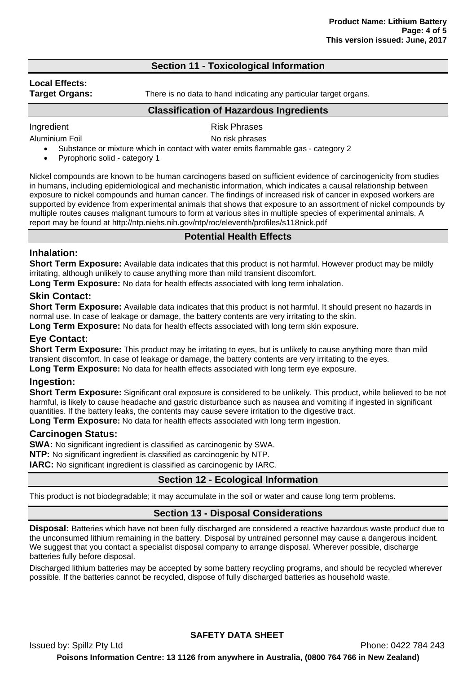# **Section 11 - Toxicological Information**

# **Local Effects:**

**Target Organs:** There is no data to hand indicating any particular target organs.

### **Classification of Hazardous Ingredients**

Ingredient **Risk Phrases** 

Aluminium Foil **No risk phrases** 

- Substance or mixture which in contact with water emits flammable gas category 2
	- Pyrophoric solid category 1

Nickel compounds are known to be human carcinogens based on sufficient evidence of carcinogenicity from studies in humans, including epidemiological and mechanistic information, which indicates a causal relationship between exposure to nickel compounds and human cancer. The findings of increased risk of cancer in exposed workers are supported by evidence from experimental animals that shows that exposure to an assortment of nickel compounds by multiple routes causes malignant tumours to form at various sites in multiple species of experimental animals. A report may be found at http://ntp.niehs.nih.gov/ntp/roc/eleventh/profiles/s118nick.pdf

# **Potential Health Effects**

# **Inhalation:**

**Short Term Exposure:** Available data indicates that this product is not harmful. However product may be mildly irritating, although unlikely to cause anything more than mild transient discomfort.

**Long Term Exposure:** No data for health effects associated with long term inhalation.

# **Skin Contact:**

**Short Term Exposure:** Available data indicates that this product is not harmful. It should present no hazards in normal use. In case of leakage or damage, the battery contents are very irritating to the skin.

Long Term Exposure: No data for health effects associated with long term skin exposure.

## **Eye Contact:**

**Short Term Exposure:** This product may be irritating to eyes, but is unlikely to cause anything more than mild transient discomfort. In case of leakage or damage, the battery contents are very irritating to the eyes.

**Long Term Exposure:** No data for health effects associated with long term eye exposure.

## **Ingestion:**

**Short Term Exposure:** Significant oral exposure is considered to be unlikely. This product, while believed to be not harmful, is likely to cause headache and gastric disturbance such as nausea and vomiting if ingested in significant quantities. If the battery leaks, the contents may cause severe irritation to the digestive tract.

**Long Term Exposure:** No data for health effects associated with long term ingestion.

## **Carcinogen Status:**

**SWA:** No significant ingredient is classified as carcinogenic by SWA. **NTP:** No significant ingredient is classified as carcinogenic by NTP. **IARC:** No significant ingredient is classified as carcinogenic by IARC.

# **Section 12 - Ecological Information**

This product is not biodegradable; it may accumulate in the soil or water and cause long term problems.

## **Section 13 - Disposal Considerations**

**Disposal:** Batteries which have not been fully discharged are considered a reactive hazardous waste product due to the unconsumed lithium remaining in the battery. Disposal by untrained personnel may cause a dangerous incident. We suggest that you contact a specialist disposal company to arrange disposal. Wherever possible, discharge batteries fully before disposal.

Discharged lithium batteries may be accepted by some battery recycling programs, and should be recycled wherever possible. If the batteries cannot be recycled, dispose of fully discharged batteries as household waste.

**SAFETY DATA SHEET**